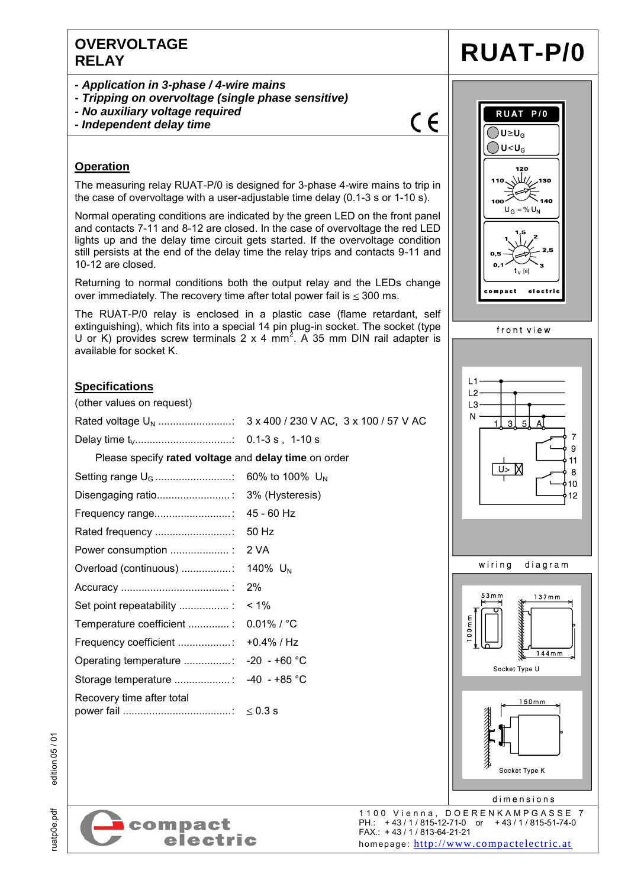### **OVERVOLTAGE RELAY RUAT-P/0**

- *- Application in 3-phase / 4-wire mains*
- *- Tripping on overvoltage (single phase sensitive)*
- *- No auxiliary voltage required*
- *- Independent delay time*

## $\epsilon$

#### **Operation**

The measuring relay RUAT-P/0 is designed for 3-phase 4-wire mains to trip in the case of overvoltage with a user-adjustable time delay (0.1-3 s or 1-10 s).

Normal operating conditions are indicated by the green LED on the front panel and contacts 7-11 and 8-12 are closed. In the case of overvoltage the red LED lights up and the delay time circuit gets started. If the overvoltage condition still persists at the end of the delay time the relay trips and contacts 9-11 and 10-12 are closed.

Returning to normal conditions both the output relay and the LEDs change over immediately. The recovery time after total power fail is  $\leq$  300 ms.

The RUAT-P/0 relay is enclosed in a plastic case (flame retardant, self extinguishing), which fits into a special 14 pin plug-in socket. The socket (type U or K) provides screw terminals 2 x 4 mm<sup>2</sup>. A 35 mm DIN rail adapter is available for socket K.

#### **Specifications**

| (other values on request)                            |  |  |  |  |
|------------------------------------------------------|--|--|--|--|
|                                                      |  |  |  |  |
|                                                      |  |  |  |  |
| Please specify rated voltage and delay time on order |  |  |  |  |
|                                                      |  |  |  |  |
|                                                      |  |  |  |  |
|                                                      |  |  |  |  |
|                                                      |  |  |  |  |
|                                                      |  |  |  |  |
|                                                      |  |  |  |  |
|                                                      |  |  |  |  |
|                                                      |  |  |  |  |
| Temperature coefficient : 0.01% / °C                 |  |  |  |  |
|                                                      |  |  |  |  |
| Operating temperature : -20 - +60 °C                 |  |  |  |  |
| Storage temperature : -40 - +85 °C                   |  |  |  |  |
| Recovery time after total                            |  |  |  |  |

electric

RUAT P/0  $\bigcirc$ U≥U $_{\rm G}$ ) U<U<sub>ດ</sub> ЛM. بيمه  $U_G = \% U_N$  $t_v$  [s] compact electri front view  $L1$  $L<sub>2</sub>$ L<sub>3</sub>  ${\sf N}$ 7 9  $11$  $U$  $\bf 8$ 10  $12$ wiring diagram  $53<sub>mm</sub>$  $137mm$ 00mm  $144mm$ 

Socket Type U



dimensions 1100 Vienna, DOERENKAMPGASSE 7<br>PH.: +43/1/815-12-71-0 or +43/1/815-51-74-0 PH.: +43 / 1 / 815-12-71-0 or +43 / 1 / 815-51-74-0 FAX.: + 43 / 1 / 813-64-21-21 homepage: [http://www.compactelectric.at](http://www.compactelectric.at/)

ruatp0e.pdf